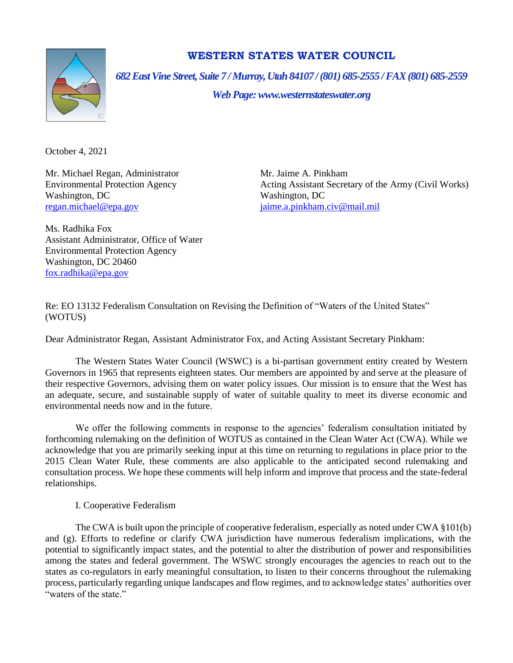

# **WESTERN STATES WATER COUNCIL**

*682 East Vine Street, Suite 7 / Murray, Utah 84107 / (801) 685-2555 / FAX (801) 685-2559*

*Web Page: www.westernstateswater.org*

October 4, 2021

Mr. Michael Regan, Administrator Mr. Jaime A. Pinkham Washington, DC Washington, DC [regan.michael@epa.gov](mailto:regan.michael@epa.gov) [jaime.a.pinkham.civ@mail.mil](mailto:jaime.a.pinkham.civ@mail.mil)

Environmental Protection Agency Acting Assistant Secretary of the Army (Civil Works)

Ms. Radhika Fox Assistant Administrator, Office of Water Environmental Protection Agency Washington, DC 20460 [fox.radhika@epa.gov](mailto:fox.radhika@epa.gov)

Re: EO 13132 Federalism Consultation on Revising the Definition of "Waters of the United States" (WOTUS)

Dear Administrator Regan, Assistant Administrator Fox, and Acting Assistant Secretary Pinkham:

The Western States Water Council (WSWC) is a bi-partisan government entity created by Western Governors in 1965 that represents eighteen states. Our members are appointed by and serve at the pleasure of their respective Governors, advising them on water policy issues. Our mission is to ensure that the West has an adequate, secure, and sustainable supply of water of suitable quality to meet its diverse economic and environmental needs now and in the future.

We offer the following comments in response to the agencies' federalism consultation initiated by forthcoming rulemaking on the definition of WOTUS as contained in the Clean Water Act (CWA). While we acknowledge that you are primarily seeking input at this time on returning to regulations in place prior to the 2015 Clean Water Rule, these comments are also applicable to the anticipated second rulemaking and consultation process. We hope these comments will help inform and improve that process and the state-federal relationships.

## I. Cooperative Federalism

The CWA is built upon the principle of cooperative federalism, especially as noted under CWA §101(b) and (g). Efforts to redefine or clarify CWA jurisdiction have numerous federalism implications, with the potential to significantly impact states, and the potential to alter the distribution of power and responsibilities among the states and federal government. The WSWC strongly encourages the agencies to reach out to the states as co-regulators in early meaningful consultation, to listen to their concerns throughout the rulemaking process, particularly regarding unique landscapes and flow regimes, and to acknowledge states' authorities over "waters of the state."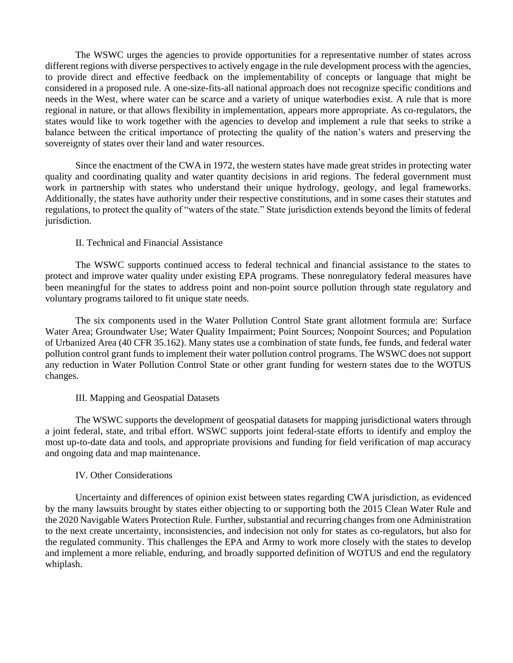The WSWC urges the agencies to provide opportunities for a representative number of states across different regions with diverse perspectives to actively engage in the rule development process with the agencies, to provide direct and effective feedback on the implementability of concepts or language that might be considered in a proposed rule. A one-size-fits-all national approach does not recognize specific conditions and needs in the West, where water can be scarce and a variety of unique waterbodies exist. A rule that is more regional in nature, or that allows flexibility in implementation, appears more appropriate. As co-regulators, the states would like to work together with the agencies to develop and implement a rule that seeks to strike a balance between the critical importance of protecting the quality of the nation's waters and preserving the sovereignty of states over their land and water resources.

Since the enactment of the CWA in 1972, the western states have made great strides in protecting water quality and coordinating quality and water quantity decisions in arid regions. The federal government must work in partnership with states who understand their unique hydrology, geology, and legal frameworks. Additionally, the states have authority under their respective constitutions, and in some cases their statutes and regulations, to protect the quality of "waters of the state." State jurisdiction extends beyond the limits of federal jurisdiction.

#### II. Technical and Financial Assistance

The WSWC supports continued access to federal technical and financial assistance to the states to protect and improve water quality under existing EPA programs. These nonregulatory federal measures have been meaningful for the states to address point and non-point source pollution through state regulatory and voluntary programs tailored to fit unique state needs.

The six components used in the Water Pollution Control State grant allotment formula are: Surface Water Area; Groundwater Use; Water Quality Impairment; Point Sources; Nonpoint Sources; and Population of Urbanized Area (40 CFR 35.162). Many states use a combination of state funds, fee funds, and federal water pollution control grant funds to implement their water pollution control programs. The WSWC does not support any reduction in Water Pollution Control State or other grant funding for western states due to the WOTUS changes.

#### III. Mapping and Geospatial Datasets

The WSWC supports the development of geospatial datasets for mapping jurisdictional waters through a joint federal, state, and tribal effort. WSWC supports joint federal-state efforts to identify and employ the most up-to-date data and tools, and appropriate provisions and funding for field verification of map accuracy and ongoing data and map maintenance.

#### IV. Other Considerations

Uncertainty and differences of opinion exist between states regarding CWA jurisdiction, as evidenced by the many lawsuits brought by states either objecting to or supporting both the 2015 Clean Water Rule and the 2020 Navigable Waters Protection Rule. Further, substantial and recurring changes from one Administration to the next create uncertainty, inconsistencies, and indecision not only for states as co-regulators, but also for the regulated community. This challenges the EPA and Army to work more closely with the states to develop and implement a more reliable, enduring, and broadly supported definition of WOTUS and end the regulatory whiplash.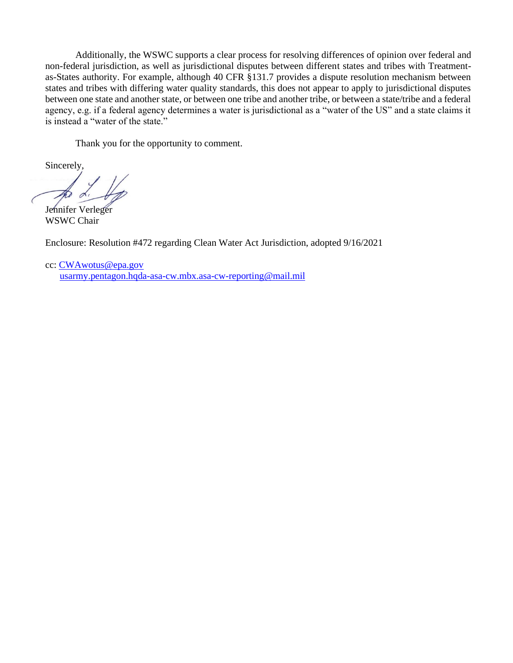Additionally, the WSWC supports a clear process for resolving differences of opinion over federal and non-federal jurisdiction, as well as jurisdictional disputes between different states and tribes with Treatmentas-States authority. For example, although 40 CFR §131.7 provides a dispute resolution mechanism between states and tribes with differing water quality standards, this does not appear to apply to jurisdictional disputes between one state and another state, or between one tribe and another tribe, or between a state/tribe and a federal agency, e.g. if a federal agency determines a water is jurisdictional as a "water of the US" and a state claims it is instead a "water of the state."

Thank you for the opportunity to comment.

Sincerely,

Jennifer Verleger WSWC Chair

Enclosure: Resolution #472 regarding Clean Water Act Jurisdiction, adopted 9/16/2021

cc: [CWAwotus@epa.gov](mailto:CWAwotus@epa.gov) [usarmy.pentagon.hqda-asa-cw.mbx.asa-cw-reporting@mail.mil](mailto:usarmy.pentagon.hqda-asa-cw.mbx.asa-cw-reporting@mail.mil)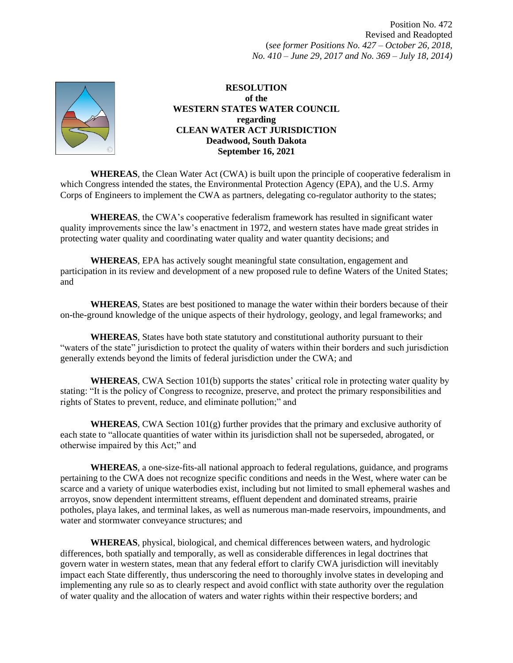Position No. 472 Revised and Readopted (*see former Positions No. 427 – October 26, 2018, No. 410 – June 29, 2017 and No. 369 – July 18, 2014)*



### **RESOLUTION of the WESTERN STATES WATER COUNCIL regarding CLEAN WATER ACT JURISDICTION Deadwood, South Dakota September 16, 2021**

**WHEREAS**, the Clean Water Act (CWA) is built upon the principle of cooperative federalism in which Congress intended the states, the Environmental Protection Agency (EPA), and the U.S. Army Corps of Engineers to implement the CWA as partners, delegating co-regulator authority to the states;

**WHEREAS**, the CWA's cooperative federalism framework has resulted in significant water quality improvements since the law's enactment in 1972, and western states have made great strides in protecting water quality and coordinating water quality and water quantity decisions; and

**WHEREAS**, EPA has actively sought meaningful state consultation, engagement and participation in its review and development of a new proposed rule to define Waters of the United States; and

**WHEREAS**, States are best positioned to manage the water within their borders because of their on-the-ground knowledge of the unique aspects of their hydrology, geology, and legal frameworks; and

**WHEREAS**, States have both state statutory and constitutional authority pursuant to their "waters of the state" jurisdiction to protect the quality of waters within their borders and such jurisdiction generally extends beyond the limits of federal jurisdiction under the CWA; and

**WHEREAS**, CWA Section 101(b) supports the states' critical role in protecting water quality by stating: "It is the policy of Congress to recognize, preserve, and protect the primary responsibilities and rights of States to prevent, reduce, and eliminate pollution;" and

**WHEREAS**, CWA Section  $101(g)$  further provides that the primary and exclusive authority of each state to "allocate quantities of water within its jurisdiction shall not be superseded, abrogated, or otherwise impaired by this Act;" and

**WHEREAS**, a one-size-fits-all national approach to federal regulations, guidance, and programs pertaining to the CWA does not recognize specific conditions and needs in the West, where water can be scarce and a variety of unique waterbodies exist, including but not limited to small ephemeral washes and arroyos, snow dependent intermittent streams, effluent dependent and dominated streams, prairie potholes, playa lakes, and terminal lakes, as well as numerous man-made reservoirs, impoundments, and water and stormwater conveyance structures; and

**WHEREAS**, physical, biological, and chemical differences between waters, and hydrologic differences, both spatially and temporally, as well as considerable differences in legal doctrines that govern water in western states, mean that any federal effort to clarify CWA jurisdiction will inevitably impact each State differently, thus underscoring the need to thoroughly involve states in developing and implementing any rule so as to clearly respect and avoid conflict with state authority over the regulation of water quality and the allocation of waters and water rights within their respective borders; and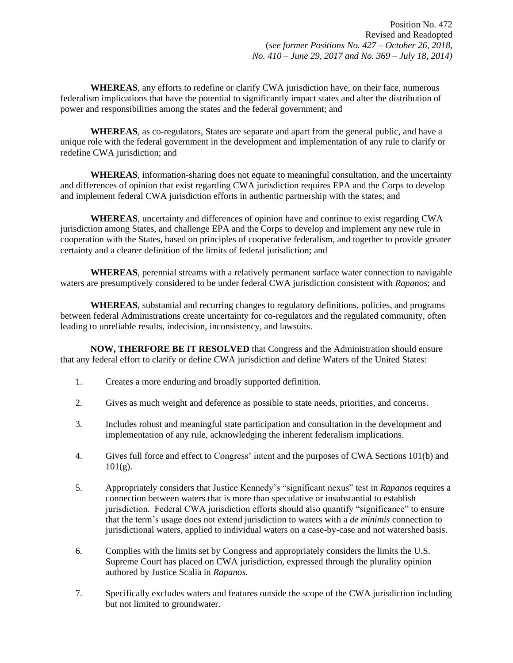**WHEREAS**, any efforts to redefine or clarify CWA jurisdiction have, on their face, numerous federalism implications that have the potential to significantly impact states and alter the distribution of power and responsibilities among the states and the federal government; and

**WHEREAS**, as co-regulators, States are separate and apart from the general public, and have a unique role with the federal government in the development and implementation of any rule to clarify or redefine CWA jurisdiction; and

**WHEREAS**, information-sharing does not equate to meaningful consultation, and the uncertainty and differences of opinion that exist regarding CWA jurisdiction requires EPA and the Corps to develop and implement federal CWA jurisdiction efforts in authentic partnership with the states; and

**WHEREAS**, uncertainty and differences of opinion have and continue to exist regarding CWA jurisdiction among States, and challenge EPA and the Corps to develop and implement any new rule in cooperation with the States, based on principles of cooperative federalism, and together to provide greater certainty and a clearer definition of the limits of federal jurisdiction; and

**WHEREAS**, perennial streams with a relatively permanent surface water connection to navigable waters are presumptively considered to be under federal CWA jurisdiction consistent with *Rapanos*; and

**WHEREAS**, substantial and recurring changes to regulatory definitions, policies, and programs between federal Administrations create uncertainty for co-regulators and the regulated community, often leading to unreliable results, indecision, inconsistency, and lawsuits.

**NOW, THERFORE BE IT RESOLVED** that Congress and the Administration should ensure that any federal effort to clarify or define CWA jurisdiction and define Waters of the United States:

- 1. Creates a more enduring and broadly supported definition.
- 2. Gives as much weight and deference as possible to state needs, priorities, and concerns.
- 3. Includes robust and meaningful state participation and consultation in the development and implementation of any rule, acknowledging the inherent federalism implications.
- 4. Gives full force and effect to Congress' intent and the purposes of CWA Sections 101(b) and  $101(g)$ .
- 5. Appropriately considers that Justice Kennedy's "significant nexus" test in *Rapanos* requires a connection between waters that is more than speculative or insubstantial to establish jurisdiction. Federal CWA jurisdiction efforts should also quantify "significance" to ensure that the term's usage does not extend jurisdiction to waters with a *de minimis* connection to jurisdictional waters, applied to individual waters on a case-by-case and not watershed basis.
- 6. Complies with the limits set by Congress and appropriately considers the limits the U.S. Supreme Court has placed on CWA jurisdiction, expressed through the plurality opinion authored by Justice Scalia in *Rapanos*.
- 7. Specifically excludes waters and features outside the scope of the CWA jurisdiction including but not limited to groundwater.